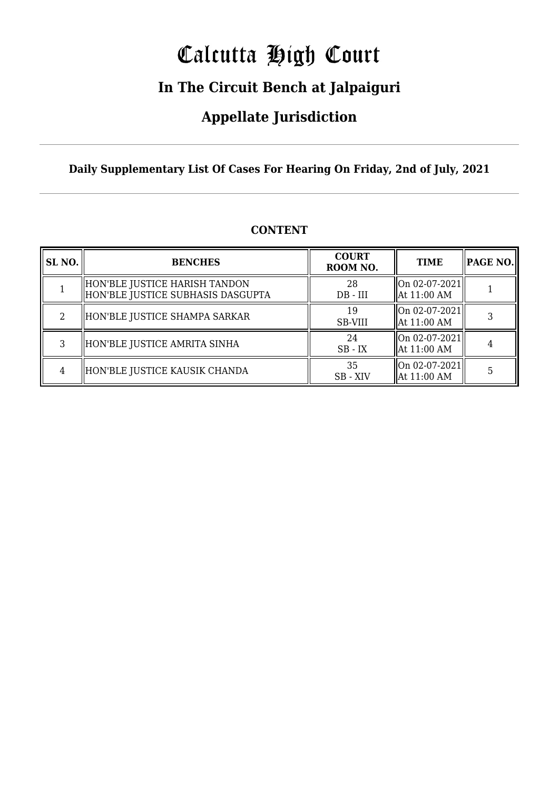# Calcutta High Court

### **In The Circuit Bench at Jalpaiguri**

### **Appellate Jurisdiction**

#### **Daily Supplementary List Of Cases For Hearing On Friday, 2nd of July, 2021**

| SL <sub>NO.</sub> | <b>BENCHES</b>                                                       | <b>COURT</b><br>ROOM NO. | <b>TIME</b>                                                                    | PAGE NO. |
|-------------------|----------------------------------------------------------------------|--------------------------|--------------------------------------------------------------------------------|----------|
|                   | HON'BLE JUSTICE HARISH TANDON<br>  HON'BLE JUSTICE SUBHASIS DASGUPTA | 28<br>$DB$ - $III$       | On 02-07-2021 <br>$\parallel$ At 11:00 AM                                      |          |
| 2                 | HON'BLE JUSTICE SHAMPA SARKAR                                        | 19<br>SB-VIII            | $\left\vert \right\vert$ On 02-07-2021 $\left\vert$<br>$\parallel$ At 11:00 AM |          |
| 3                 | HON'BLE JUSTICE AMRITA SINHA                                         | 24<br>$SB$ - $IX$        | $\left\vert \right\vert$ On 02-07-2021 $\left\vert$<br>$\parallel$ At 11:00 AM |          |
| 4                 | HON'BLE JUSTICE KAUSIK CHANDA                                        | 35<br>SB-XIV             | On 02-07-2021 <br>$\parallel$ At 11:00 AM                                      | 5        |

#### **CONTENT**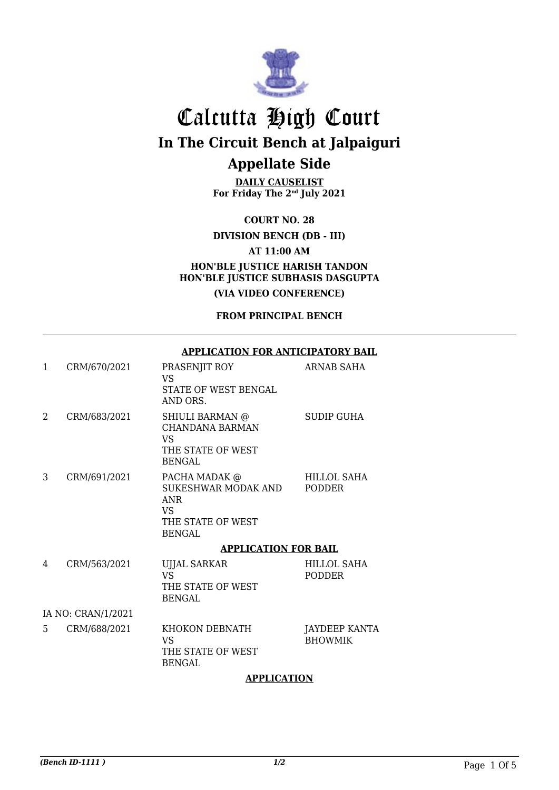

**DAILY CAUSELIST For Friday The 2nd July 2021**

**COURT NO. 28**

**DIVISION BENCH (DB - III)**

**AT 11:00 AM**

**HON'BLE JUSTICE HARISH TANDON HON'BLE JUSTICE SUBHASIS DASGUPTA**

**(VIA VIDEO CONFERENCE)**

**FROM PRINCIPAL BENCH**

#### **APPLICATION FOR ANTICIPATORY BAIL**

| 1 | CRM/670/2021       | PRASENJIT ROY<br><b>VS</b><br>STATE OF WEST BENGAL<br>AND ORS.                                  | ARNAB SAHA                      |
|---|--------------------|-------------------------------------------------------------------------------------------------|---------------------------------|
| 2 | CRM/683/2021       | SHIULI BARMAN @<br>CHANDANA BARMAN<br>VS<br>THE STATE OF WEST<br><b>BENGAL</b>                  | <b>SUDIP GUHA</b>               |
| 3 | CRM/691/2021       | PACHA MADAK @<br>SUKESHWAR MODAK AND<br><b>ANR</b><br>VS.<br>THE STATE OF WEST<br><b>BENGAL</b> | HILLOL SAHA<br>PODDER           |
|   |                    | <b>APPLICATION FOR BAIL</b>                                                                     |                                 |
| 4 | CRM/563/2021       | <b>UJJAL SARKAR</b><br>VS.<br>THE STATE OF WEST<br><b>BENGAL</b>                                | HILLOL SAHA<br><b>PODDER</b>    |
|   | IA NO: CRAN/1/2021 |                                                                                                 |                                 |
| 5 | CRM/688/2021       | KHOKON DEBNATH<br>VS<br>THE STATE OF WEST<br><b>BENGAL</b>                                      | JAYDEEP KANTA<br><b>BHOWMIK</b> |

#### **APPLICATION**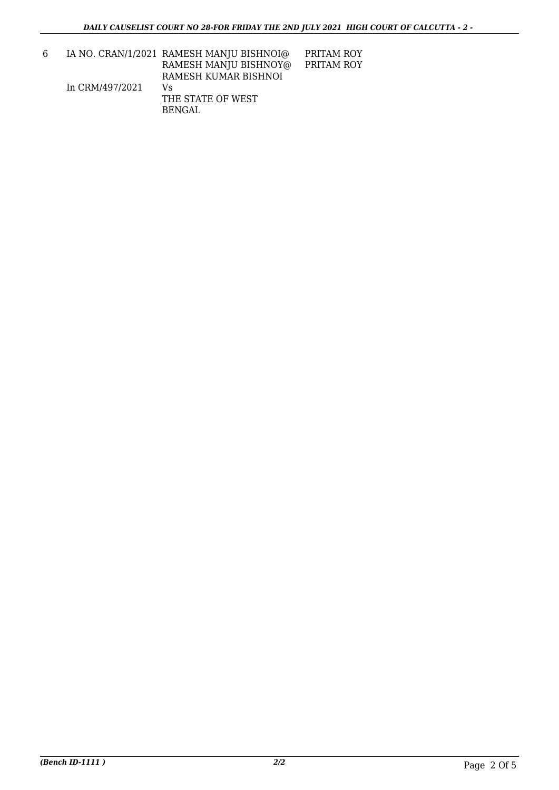6 IA NO. CRAN/1/2021 RAMESH MANJU BISHNOI@ In CRM/497/2021 RAMESH MANJU BISHNOY@ RAMESH KUMAR BISHNOI Vs THE STATE OF WEST PRITAM ROY PRITAM ROY

BENGAL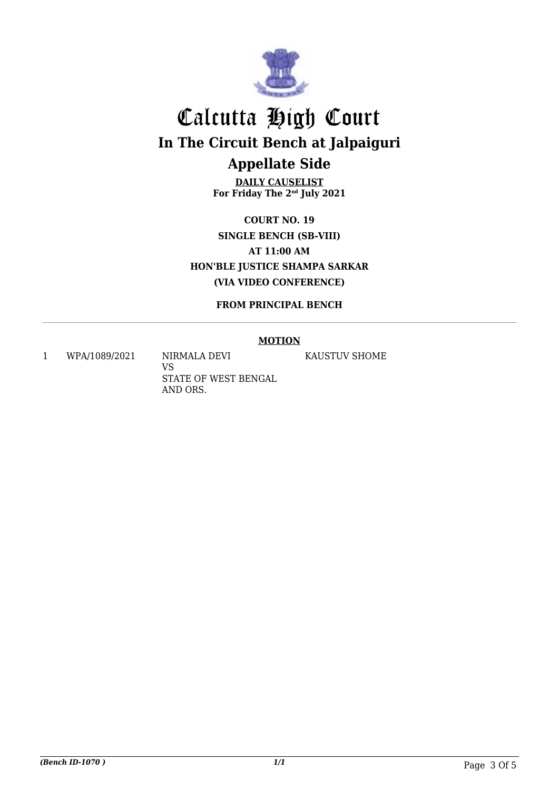

**DAILY CAUSELIST For Friday The 2nd July 2021**

**COURT NO. 19 SINGLE BENCH (SB-VIII) AT 11:00 AM HON'BLE JUSTICE SHAMPA SARKAR (VIA VIDEO CONFERENCE)**

**FROM PRINCIPAL BENCH**

#### **MOTION**

1 WPA/1089/2021 NIRMALA DEVI

VS STATE OF WEST BENGAL AND ORS.

KAUSTUV SHOME

*(Bench ID-1070 ) 1/1* Page 3 Of 5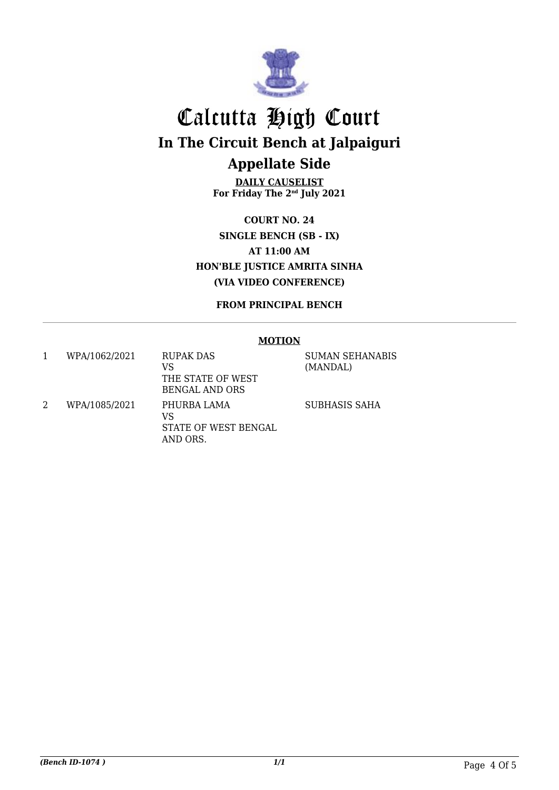

**DAILY CAUSELIST For Friday The 2nd July 2021**

**COURT NO. 24 SINGLE BENCH (SB - IX) AT 11:00 AM HON'BLE JUSTICE AMRITA SINHA (VIA VIDEO CONFERENCE)**

**FROM PRINCIPAL BENCH**

#### **MOTION**

| WPA/1062/2021 | <b>RUPAK DAS</b><br>VS<br>THE STATE OF WEST<br>BENGAL AND ORS | <b>SUMAN SEHANABIS</b><br>(MANDAL) |
|---------------|---------------------------------------------------------------|------------------------------------|
| WPA/1085/2021 | PHURBA LAMA<br>VS<br>STATE OF WEST BENGAL<br>AND ORS.         | SUBHASIS SAHA                      |